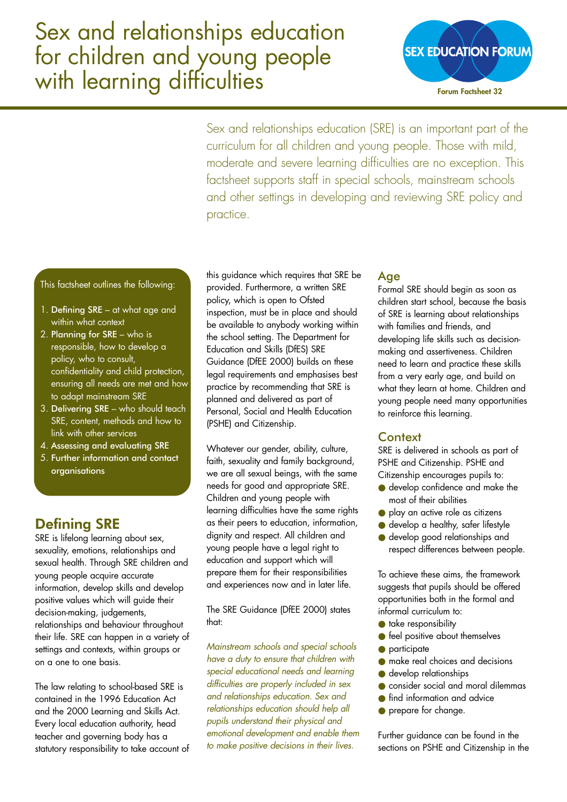# Sex and relationships education for children and young people with learning difficulties



Sex and relationships education (SRE) is an important part of the curriculum for all children and young people. Those with mild, moderate and severe learning difficulties are no exception. This factsheet supports staff in special schools, mainstream schools and other settings in developing and reviewing SRE policy and practice.

This factsheet outlines the following:

- 1. Defining SRE at what age and within what context
- 2. Planning for SRE who is responsible, how to develop a policy, who to consult, confidentiality and child protection, ensuring all needs are met and how to adapt mainstream SRE
- 3. Delivering SRE who should teach SRE, content, methods and how to link with other services
- 4. Assessing and evaluating SRE
- 5. Further information and contact organisations

## Defining SRE

SRE is lifelong learning about sex, sexuality, emotions, relationships and sexual health. Through SRE children and young people acquire accurate information, develop skills and develop positive values which will guide their decision-making, judgements, relationships and behaviour throughout their life. SRE can happen in a variety of settings and contexts, within groups or on a one to one basis.

The law relating to school-based SRE is contained in the 1996 Education Act and the 2000 Learning and Skills Act. Every local education authority, head teacher and governing body has a statutory responsibility to take account of this guidance which requires that SRE be provided. Furthermore, a written SRE policy, which is open to Ofsted inspection, must be in place and should be available to anybody working within the school setting. The Department for Education and Skills (DfES) SRE Guidance (DfEE 2000) builds on these legal requirements and emphasises best practice by recommending that SRE is planned and delivered as part of Personal, Social and Health Education (PSHE) and Citizenship.

Whatever our gender, ability, culture, faith, sexuality and family background, we are all sexual beings, with the same needs for good and appropriate SRE. Children and young people with learning difficulties have the same rights as their peers to education, information, dignity and respect. All children and young people have a legal right to education and support which will prepare them for their responsibilities and experiences now and in later life.

The SRE Guidance (DfEE 2000) states that:

*Mainstream schools and special schools have a duty to ensure that children with special educational needs and learning difficulties are properly included in sex and relationships education. Sex and relationships education should help all pupils understand their physical and emotional development and enable them to make positive decisions in their lives.*

## Age

Formal SRE should begin as soon as children start school, because the basis of SRE is learning about relationships with families and friends, and developing life skills such as decisionmaking and assertiveness. Children need to learn and practice these skills from a very early age, and build on what they learn at home. Children and young people need many opportunities to reinforce this learning.

## **Context**

SRE is delivered in schools as part of PSHE and Citizenship. PSHE and Citizenship encourages pupils to:

- develop confidence and make the most of their abilities
- play an active role as citizens
- develop a healthy, safer lifestyle
- develop good relationships and respect differences between people.

To achieve these aims, the framework suggests that pupils should be offered opportunities both in the formal and informal curriculum to:

- take responsibility
- feel positive about themselves
- participate
- make real choices and decisions
- develop relationships
- consider social and moral dilemmas
- find information and advice
- prepare for change.

Further guidance can be found in the sections on PSHE and Citizenship in the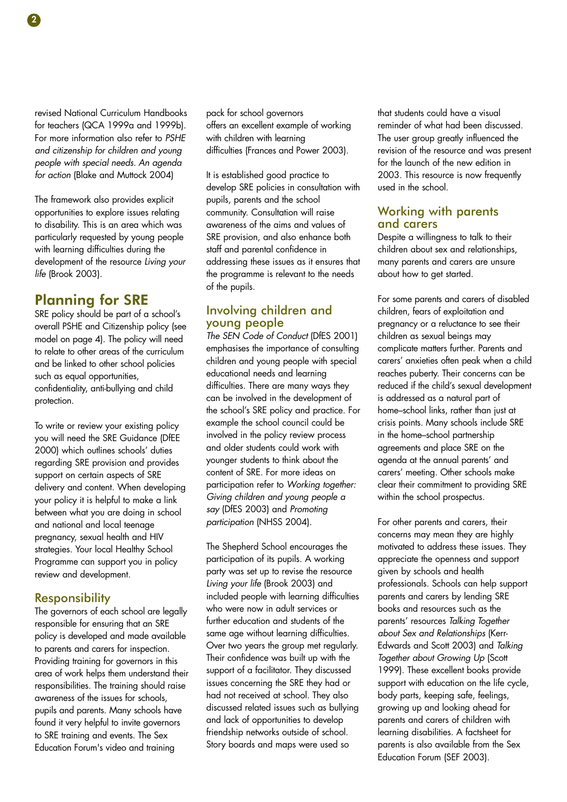revised National Curriculum Handbooks for teachers (QCA 1999a and 1999b). For more information also refer to *PSHE and citizenship for children and young people with special needs. An agenda for action* (Blake and Muttock 2004)

The framework also provides explicit opportunities to explore issues relating to disability. This is an area which was particularly requested by young people with learning difficulties during the development of the resource *Living your life* (Brook 2003).

## Planning for SRE

SRE policy should be part of a school's overall PSHE and Citizenship policy (see model on page 4). The policy will need to relate to other areas of the curriculum and be linked to other school policies such as equal opportunities, confidentiality, anti-bullying and child protection.

To write or review your existing policy you will need the SRE Guidance (DfEE 2000) which outlines schools' duties regarding SRE provision and provides support on certain aspects of SRE delivery and content. When developing your policy it is helpful to make a link between what you are doing in school and national and local teenage pregnancy, sexual health and HIV strategies. Your local Healthy School Programme can support you in policy review and development.

#### **Responsibility**

The governors of each school are legally responsible for ensuring that an SRE policy is developed and made available to parents and carers for inspection. Providing training for governors in this area of work helps them understand their responsibilities. The training should raise awareness of the issues for schools, pupils and parents. Many schools have found it very helpful to invite governors to SRE training and events. The Sex Education Forum's video and training

pack for school governors offers an excellent example of working with children with learning difficulties (Frances and Power 2003).

It is established good practice to develop SRE policies in consultation with pupils, parents and the school community. Consultation will raise awareness of the aims and values of SRE provision, and also enhance both staff and parental confidence in addressing these issues as it ensures that the programme is relevant to the needs of the pupils.

### Involving children and young people

*The SEN Code of Conduct* (DfES 2001) emphasises the importance of consulting children and young people with special educational needs and learning difficulties. There are many ways they can be involved in the development of the school's SRE policy and practice. For example the school council could be involved in the policy review process and older students could work with younger students to think about the content of SRE. For more ideas on participation refer to *Working together: Giving children and young people a say* (DfES 2003) and *Promoting participation* (NHSS 2004).

The Shepherd School encourages the participation of its pupils. A working party was set up to revise the resource *Living your life* (Brook 2003) and included people with learning difficulties who were now in adult services or further education and students of the same age without learning difficulties. Over two years the group met regularly. Their confidence was built up with the support of a facilitator. They discussed issues concerning the SRE they had or had not received at school. They also discussed related issues such as bullying and lack of opportunities to develop friendship networks outside of school. Story boards and maps were used so

that students could have a visual reminder of what had been discussed. The user group greatly influenced the revision of the resource and was present for the launch of the new edition in 2003. This resource is now frequently used in the school.

#### Working with parents and carers

Despite a willingness to talk to their children about sex and relationships, many parents and carers are unsure about how to get started.

For some parents and carers of disabled children, fears of exploitation and pregnancy or a reluctance to see their children as sexual beings may complicate matters further. Parents and carers' anxieties often peak when a child reaches puberty. Their concerns can be reduced if the child's sexual development is addressed as a natural part of home–school links, rather than just at crisis points. Many schools include SRE in the home–school partnership agreements and place SRE on the agenda at the annual parents' and carers' meeting. Other schools make clear their commitment to providing SRE within the school prospectus.

For other parents and carers, their concerns may mean they are highly motivated to address these issues. They appreciate the openness and support given by schools and health professionals. Schools can help support parents and carers by lending SRE books and resources such as the parents' resources *Talking Together about Sex and Relationships* (Kerr-Edwards and Scott 2003) and *Talking Together about Growing Up* (Scott 1999). These excellent books provide support with education on the life cycle, body parts, keeping safe, feelings, growing up and looking ahead for parents and carers of children with learning disabilities. A factsheet for parents is also available from the Sex Education Forum (SEF 2003).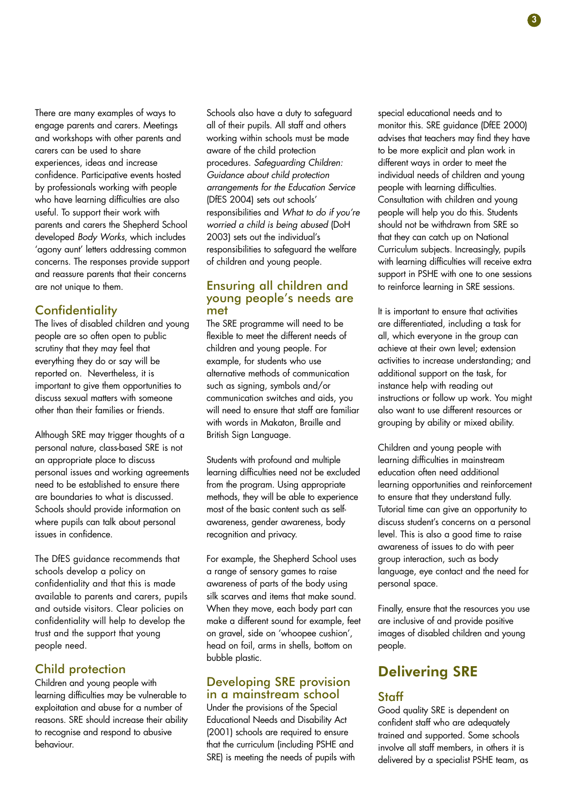There are many examples of ways to engage parents and carers. Meetings and workshops with other parents and carers can be used to share experiences, ideas and increase confidence. Participative events hosted by professionals working with people who have learning difficulties are also useful. To support their work with parents and carers the Shepherd School developed *Body Works*, which includes 'agony aunt' letters addressing common concerns. The responses provide support and reassure parents that their concerns are not unique to them.

## **Confidentiality**

The lives of disabled children and young people are so often open to public scrutiny that they may feel that everything they do or say will be reported on. Nevertheless, it is important to give them opportunities to discuss sexual matters with someone other than their families or friends.

Although SRE may trigger thoughts of a personal nature, class-based SRE is not an appropriate place to discuss personal issues and working agreements need to be established to ensure there are boundaries to what is discussed. Schools should provide information on where pupils can talk about personal issues in confidence.

The DfES guidance recommends that schools develop a policy on confidentiality and that this is made available to parents and carers, pupils and outside visitors. Clear policies on confidentiality will help to develop the trust and the support that young people need.

## Child protection

Children and young people with learning difficulties may be vulnerable to exploitation and abuse for a number of reasons. SRE should increase their ability to recognise and respond to abusive behaviour.

Schools also have a duty to safeguard all of their pupils. All staff and others working within schools must be made aware of the child protection procedures. *Safeguarding Children: Guidance about child protection arrangements for the Education Service* (DfES 2004) sets out schools' responsibilities and *What to do if you're worried a child is being abused* (DoH 2003) sets out the individual's responsibilities to safeguard the welfare of children and young people.

#### Ensuring all children and young people's needs are met

The SRE programme will need to be flexible to meet the different needs of children and young people. For example, for students who use alternative methods of communication such as signing, symbols and/or communication switches and aids, you will need to ensure that staff are familiar with words in Makaton, Braille and British Sign Language.

Students with profound and multiple learning difficulties need not be excluded from the program. Using appropriate methods, they will be able to experience most of the basic content such as selfawareness, gender awareness, body recognition and privacy.

For example, the Shepherd School uses a range of sensory games to raise awareness of parts of the body using silk scarves and items that make sound. When they move, each body part can make a different sound for example, feet on gravel, side on 'whoopee cushion', head on foil, arms in shells, bottom on bubble plastic.

#### Developing SRE provision in a mainstream school

Under the provisions of the Special Educational Needs and Disability Act (2001) schools are required to ensure that the curriculum (including PSHE and SRE) is meeting the needs of pupils with special educational needs and to monitor this. SRE guidance (DfEE 2000) advises that teachers may find they have to be more explicit and plan work in different ways in order to meet the individual needs of children and young people with learning difficulties. Consultation with children and young people will help you do this. Students should not be withdrawn from SRE so that they can catch up on National Curriculum subjects. Increasingly, pupils with learning difficulties will receive extra support in PSHE with one to one sessions to reinforce learning in SRE sessions.

It is important to ensure that activities are differentiated, including a task for all, which everyone in the group can achieve at their own level; extension activities to increase understanding; and additional support on the task, for instance help with reading out instructions or follow up work. You might also want to use different resources or grouping by ability or mixed ability.

Children and young people with learning difficulties in mainstream education often need additional learning opportunities and reinforcement to ensure that they understand fully. Tutorial time can give an opportunity to discuss student's concerns on a personal level. This is also a good time to raise awareness of issues to do with peer group interaction, such as body language, eye contact and the need for personal space.

Finally, ensure that the resources you use are inclusive of and provide positive images of disabled children and young people.

## Delivering SRE

## **Staff**

Good quality SRE is dependent on confident staff who are adequately trained and supported. Some schools involve all staff members, in others it is delivered by a specialist PSHE team, as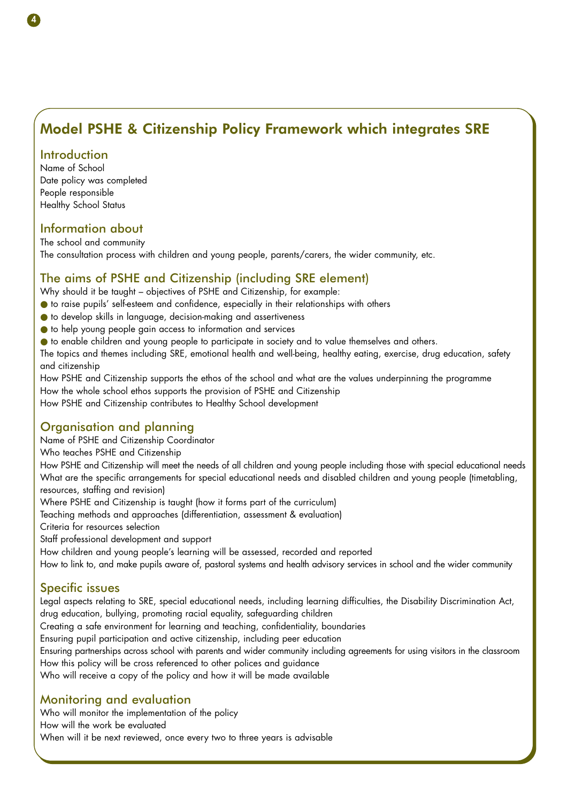## Model PSHE & Citizenship Policy Framework which integrates SRE

### Introduction

Name of School Date policy was completed People responsible Healthy School Status

## Information about

The school and community The consultation process with children and young people, parents/carers, the wider community, etc.

## The aims of PSHE and Citizenship (including SRE element)

Why should it be taught – objectives of PSHE and Citizenship, for example:

- to raise pupils' self-esteem and confidence, especially in their relationships with others
- to develop skills in language, decision-making and assertiveness
- to help young people gain access to information and services
- to enable children and young people to participate in society and to value themselves and others.

The topics and themes including SRE, emotional health and well-being, healthy eating, exercise, drug education, safety and citizenship

How PSHE and Citizenship supports the ethos of the school and what are the values underpinning the programme How the whole school ethos supports the provision of PSHE and Citizenship How PSHE and Citizenship contributes to Healthy School development

## Organisation and planning

Name of PSHE and Citizenship Coordinator

Who teaches PSHE and Citizenship

How PSHE and Citizenship will meet the needs of all children and young people including those with special educational needs What are the specific arrangements for special educational needs and disabled children and young people (timetabling, resources, staffing and revision)

Where PSHE and Citizenship is taught (how it forms part of the curriculum)

Teaching methods and approaches (differentiation, assessment & evaluation)

Criteria for resources selection

Staff professional development and support

How children and young people's learning will be assessed, recorded and reported

How to link to, and make pupils aware of, pastoral systems and health advisory services in school and the wider community

## Specific issues

Legal aspects relating to SRE, special educational needs, including learning difficulties, the Disability Discrimination Act, drug education, bullying, promoting racial equality, safeguarding children Creating a safe environment for learning and teaching, confidentiality, boundaries Ensuring pupil participation and active citizenship, including peer education Ensuring partnerships across school with parents and wider community including agreements for using visitors in the classroom How this policy will be cross referenced to other polices and guidance

Who will receive a copy of the policy and how it will be made available

## Monitoring and evaluation

Who will monitor the implementation of the policy How will the work be evaluated When will it be next reviewed, once every two to three years is advisable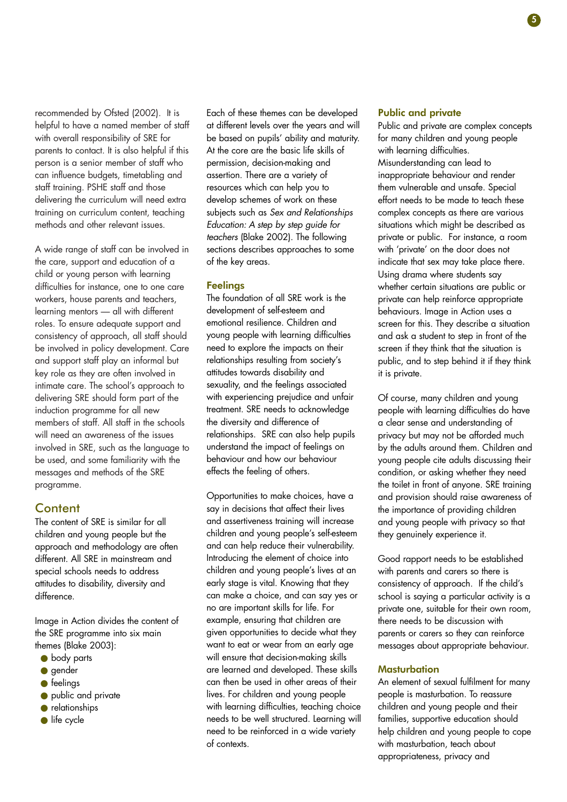recommended by Ofsted (2002). It is helpful to have a named member of staff with overall responsibility of SRE for parents to contact. It is also helpful if this person is a senior member of staff who can influence budgets, timetabling and staff training. PSHE staff and those delivering the curriculum will need extra training on curriculum content, teaching methods and other relevant issues.

A wide range of staff can be involved in the care, support and education of a child or young person with learning difficulties for instance, one to one care workers, house parents and teachers, learning mentors — all with different roles. To ensure adequate support and consistency of approach, all staff should be involved in policy development. Care and support staff play an informal but key role as they are often involved in intimate care. The school's approach to delivering SRE should form part of the induction programme for all new members of staff. All staff in the schools will need an awareness of the issues involved in SRE, such as the language to be used, and some familiarity with the messages and methods of the SRE programme.

#### **Content**

The content of SRE is similar for all children and young people but the approach and methodology are often different. All SRE in mainstream and special schools needs to address attitudes to disability, diversity and difference.

Image in Action divides the content of the SRE programme into six main themes (Blake 2003):

- body parts
- gender
- feelings
- public and private
- relationships
- life cycle

Each of these themes can be developed at different levels over the years and will be based on pupils' ability and maturity. At the core are the basic life skills of permission, decision-making and assertion. There are a variety of resources which can help you to develop schemes of work on these subjects such as *Sex and Relationships Education: A step by step guide for teachers* (Blake 2002). The following sections describes approaches to some of the key areas.

#### **Feelings**

The foundation of all SRE work is the development of self-esteem and emotional resilience. Children and young people with learning difficulties need to explore the impacts on their relationships resulting from society's attitudes towards disability and sexuality, and the feelings associated with experiencing prejudice and unfair treatment. SRE needs to acknowledge the diversity and difference of relationships. SRE can also help pupils understand the impact of feelings on behaviour and how our behaviour effects the feeling of others.

Opportunities to make choices, have a say in decisions that affect their lives and assertiveness training will increase children and young people's self-esteem and can help reduce their vulnerability. Introducing the element of choice into children and young people's lives at an early stage is vital. Knowing that they can make a choice, and can say yes or no are important skills for life. For example, ensuring that children are given opportunities to decide what they want to eat or wear from an early age will ensure that decision-making skills are learned and developed. These skills can then be used in other areas of their lives. For children and young people with learning difficulties, teaching choice needs to be well structured. Learning will need to be reinforced in a wide variety of contexts.

#### Public and private

Public and private are complex concepts for many children and young people with learning difficulties. Misunderstanding can lead to inappropriate behaviour and render them vulnerable and unsafe. Special effort needs to be made to teach these complex concepts as there are various situations which might be described as private or public. For instance, a room with 'private' on the door does not indicate that sex may take place there. Using drama where students say whether certain situations are public or private can help reinforce appropriate behaviours. Image in Action uses a screen for this. They describe a situation and ask a student to step in front of the screen if they think that the situation is public, and to step behind it if they think it is private.

Of course, many children and young people with learning difficulties do have a clear sense and understanding of privacy but may not be afforded much by the adults around them. Children and young people cite adults discussing their condition, or asking whether they need the toilet in front of anyone. SRE training and provision should raise awareness of the importance of providing children and young people with privacy so that they genuinely experience it.

Good rapport needs to be established with parents and carers so there is consistency of approach. If the child's school is saying a particular activity is a private one, suitable for their own room, there needs to be discussion with parents or carers so they can reinforce messages about appropriate behaviour.

#### **Masturbation**

An element of sexual fulfilment for many people is masturbation. To reassure children and young people and their families, supportive education should help children and young people to cope with masturbation, teach about appropriateness, privacy and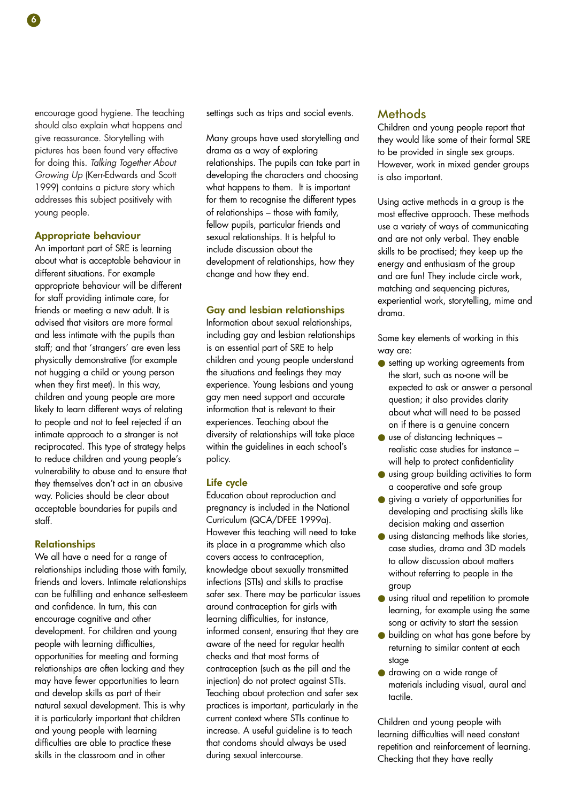encourage good hygiene. The teaching should also explain what happens and give reassurance. Storytelling with pictures has been found very effective for doing this. *Talking Together About Growing Up* (Kerr-Edwards and Scott 1999) contains a picture story which addresses this subject positively with young people.

#### Appropriate behaviour

An important part of SRE is learning about what is acceptable behaviour in different situations. For example appropriate behaviour will be different for staff providing intimate care, for friends or meeting a new adult. It is advised that visitors are more formal and less intimate with the pupils than staff; and that 'strangers' are even less physically demonstrative (for example not hugging a child or young person when they first meet). In this way, children and young people are more likely to learn different ways of relating to people and not to feel rejected if an intimate approach to a stranger is not reciprocated. This type of strategy helps to reduce children and young people's vulnerability to abuse and to ensure that they themselves don't act in an abusive way. Policies should be clear about acceptable boundaries for pupils and staff.

#### **Relationships**

We all have a need for a range of relationships including those with family, friends and lovers. Intimate relationships can be fulfilling and enhance self-esteem and confidence. In turn, this can encourage cognitive and other development. For children and young people with learning difficulties, opportunities for meeting and forming relationships are often lacking and they may have fewer opportunities to learn and develop skills as part of their natural sexual development. This is why it is particularly important that children and young people with learning difficulties are able to practice these skills in the classroom and in other

settings such as trips and social events.

Many groups have used storytelling and drama as a way of exploring relationships. The pupils can take part in developing the characters and choosing what happens to them. It is important for them to recognise the different types of relationships – those with family, fellow pupils, particular friends and sexual relationships. It is helpful to include discussion about the development of relationships, how they change and how they end.

#### Gay and lesbian relationships

Information about sexual relationships, including gay and lesbian relationships is an essential part of SRE to help children and young people understand the situations and feelings they may experience. Young lesbians and young gay men need support and accurate information that is relevant to their experiences. Teaching about the diversity of relationships will take place within the guidelines in each school's policy.

#### Life cycle

Education about reproduction and pregnancy is included in the National Curriculum (QCA/DFEE 1999a). However this teaching will need to take its place in a programme which also covers access to contraception, knowledge about sexually transmitted infections (STIs) and skills to practise safer sex. There may be particular issues around contraception for girls with learning difficulties, for instance, informed consent, ensuring that they are aware of the need for regular health checks and that most forms of contraception (such as the pill and the injection) do not protect against STIs. Teaching about protection and safer sex practices is important, particularly in the current context where STIs continue to increase. A useful guideline is to teach that condoms should always be used during sexual intercourse.

#### **Methods**

Children and young people report that they would like some of their formal SRE to be provided in single sex groups. However, work in mixed gender groups is also important.

Using active methods in a group is the most effective approach. These methods use a variety of ways of communicating and are not only verbal. They enable skills to be practised; they keep up the energy and enthusiasm of the group and are fun! They include circle work, matching and sequencing pictures, experiential work, storytelling, mime and drama.

Some key elements of working in this way are:

- setting up working agreements from the start, such as no-one will be expected to ask or answer a personal question; it also provides clarity about what will need to be passed on if there is a genuine concern
- use of distancing techniques realistic case studies for instance – will help to protect confidentiality
- using group building activities to form a cooperative and safe group
- giving a variety of opportunities for developing and practising skills like decision making and assertion
- using distancing methods like stories, case studies, drama and 3D models to allow discussion about matters without referring to people in the group
- using ritual and repetition to promote learning, for example using the same song or activity to start the session
- building on what has gone before by returning to similar content at each stage
- drawing on a wide range of materials including visual, aural and tactile.

Children and young people with learning difficulties will need constant repetition and reinforcement of learning. Checking that they have really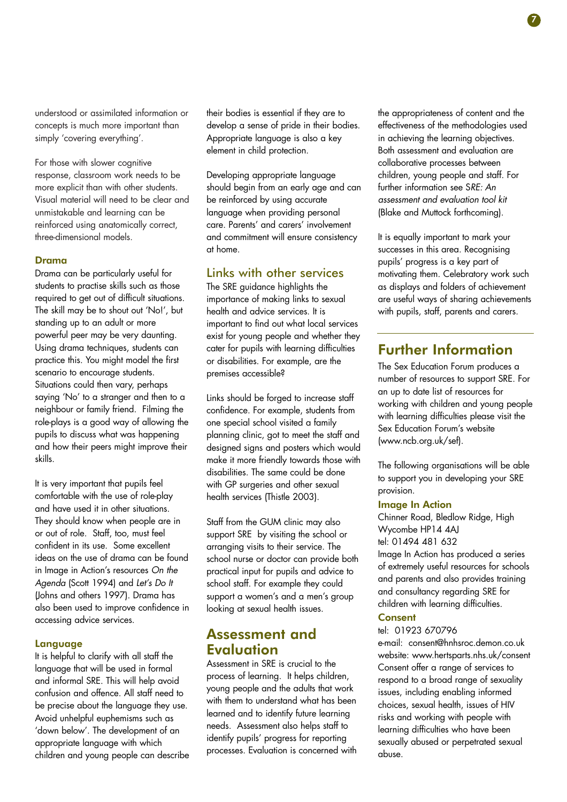understood or assimilated information or concepts is much more important than simply 'covering everything'.

For those with slower cognitive response, classroom work needs to be more explicit than with other students. Visual material will need to be clear and unmistakable and learning can be reinforced using anatomically correct, three-dimensional models.

#### Drama

Drama can be particularly useful for students to practise skills such as those required to get out of difficult situations. The skill may be to shout out 'No!', but standing up to an adult or more powerful peer may be very daunting. Using drama techniques, students can practice this. You might model the first scenario to encourage students. Situations could then vary, perhaps saying 'No' to a stranger and then to a neighbour or family friend. Filming the role-plays is a good way of allowing the pupils to discuss what was happening and how their peers might improve their skills.

It is very important that pupils feel comfortable with the use of role-play and have used it in other situations. They should know when people are in or out of role. Staff, too, must feel confident in its use. Some excellent ideas on the use of drama can be found in Image in Action's resources *On the Agenda* (Scott 1994) and *Let's Do It* (Johns and others 1997). Drama has also been used to improve confidence in accessing advice services.

#### Language

It is helpful to clarify with all staff the language that will be used in formal and informal SRE. This will help avoid confusion and offence. All staff need to be precise about the language they use. Avoid unhelpful euphemisms such as 'down below'. The development of an appropriate language with which children and young people can describe their bodies is essential if they are to develop a sense of pride in their bodies. Appropriate language is also a key element in child protection.

Developing appropriate language should begin from an early age and can be reinforced by using accurate language when providing personal care. Parents' and carers' involvement and commitment will ensure consistency at home.

## Links with other services

The SRE guidance highlights the importance of making links to sexual health and advice services. It is important to find out what local services exist for young people and whether they cater for pupils with learning difficulties or disabilities. For example, are the premises accessible?

Links should be forged to increase staff confidence. For example, students from one special school visited a family planning clinic, got to meet the staff and designed signs and posters which would make it more friendly towards those with disabilities. The same could be done with GP surgeries and other sexual health services (Thistle 2003).

Staff from the GUM clinic may also support SRE by visiting the school or arranging visits to their service. The school nurse or doctor can provide both practical input for pupils and advice to school staff. For example they could support a women's and a men's group looking at sexual health issues.

## Assessment and **Evaluation**

Assessment in SRE is crucial to the process of learning. It helps children, young people and the adults that work with them to understand what has been learned and to identify future learning needs. Assessment also helps staff to identify pupils' progress for reporting processes. Evaluation is concerned with the appropriateness of content and the effectiveness of the methodologies used in achieving the learning objectives. Both assessment and evaluation are collaborative processes between children, young people and staff. For further information see S*RE: An assessment and evaluation tool kit* (Blake and Muttock forthcoming).

It is equally important to mark your successes in this area. Recognising pupils' progress is a key part of motivating them. Celebratory work such as displays and folders of achievement are useful ways of sharing achievements with pupils, staff, parents and carers.

## Further Information

The Sex Education Forum produces a number of resources to support SRE. For an up to date list of resources for working with children and young people with learning difficulties please visit the Sex Education Forum's website (www.ncb.org.uk/sef).

The following organisations will be able to support you in developing your SRE provision.

#### Image In Action

Chinner Road, Bledlow Ridge, High Wycombe HP14 4AJ tel: 01494 481 632 Image In Action has produced a series of extremely useful resources for schools and parents and also provides training and consultancy regarding SRE for children with learning difficulties.

#### **Consent**

#### tel: 01923 670796

e-mail: consent@hnhsroc.demon.co.uk website: www.hertsparts.nhs.uk/consent Consent offer a range of services to respond to a broad range of sexuality issues, including enabling informed choices, sexual health, issues of HIV risks and working with people with learning difficulties who have been sexually abused or perpetrated sexual abuse.